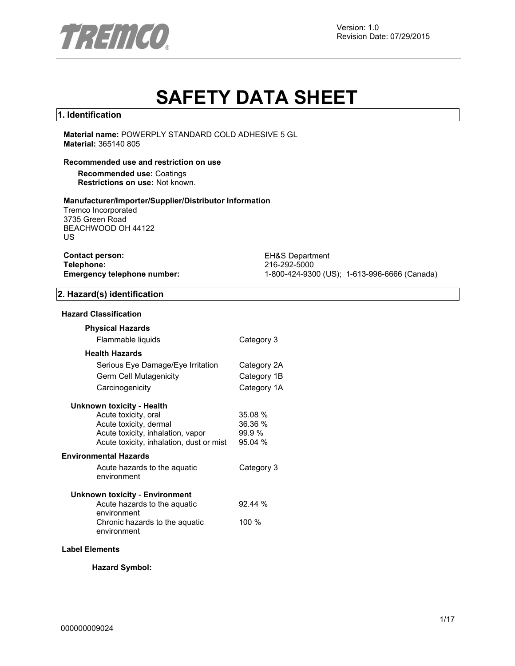

# **SAFETY DATA SHEET**

## **1. Identification**

**Material name:** POWERPLY STANDARD COLD ADHESIVE 5 GL **Material:** 365140 805

#### **Recommended use and restriction on use**

**Recommended use:** Coatings **Restrictions on use:** Not known.

#### **Manufacturer/Importer/Supplier/Distributor Information**

Tremco Incorporated 3735 Green Road BEACHWOOD OH 44122 US

| <b>Contact person:</b>      |  |
|-----------------------------|--|
| Telephone:                  |  |
| Emergency telephone number: |  |

**EH&S Department Telephone:** 216-292-5000 **Emergency telephone number:** 1-800-424-9300 (US); 1-613-996-6666 (Canada)

## **2. Hazard(s) identification**

## **Hazard Classification**

| <b>Physical Hazards</b>                       |             |
|-----------------------------------------------|-------------|
| Flammable liquids                             | Category 3  |
| <b>Health Hazards</b>                         |             |
| Serious Eye Damage/Eye Irritation             | Category 2A |
| Germ Cell Mutagenicity                        | Category 1B |
| Carcinogenicity                               | Category 1A |
| Unknown toxicity - Health                     |             |
| Acute toxicity, oral                          | 35.08 %     |
| Acute toxicity, dermal                        | 36.36 %     |
| Acute toxicity, inhalation, vapor             | 99.9%       |
| Acute toxicity, inhalation, dust or mist      | 95.04 %     |
| <b>Environmental Hazards</b>                  |             |
| Acute hazards to the aquatic                  | Category 3  |
| environment                                   |             |
| <b>Unknown toxicity - Environment</b>         |             |
| Acute hazards to the aquatic<br>environment   | 92.44%      |
| Chronic hazards to the aquatic<br>environment | $100 \%$    |
|                                               |             |

## **Label Elements**

**Hazard Symbol:**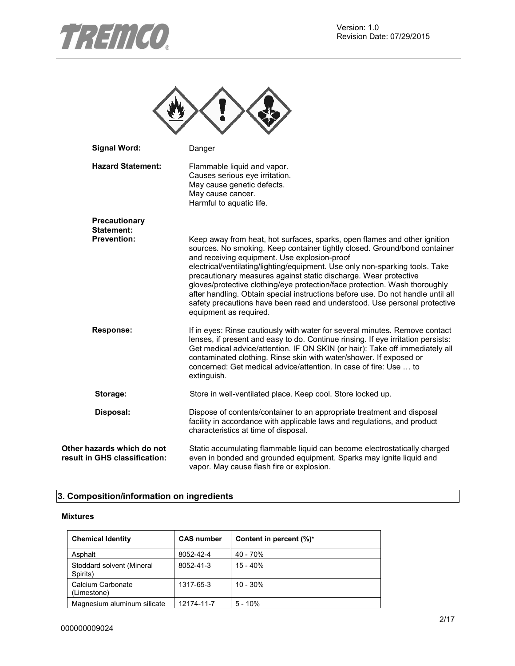



| <b>Signal Word:</b>                            | Danger                                                                                                                                                                                                                                                                                                                                                                                                                                                                                                                                                                                                                             |
|------------------------------------------------|------------------------------------------------------------------------------------------------------------------------------------------------------------------------------------------------------------------------------------------------------------------------------------------------------------------------------------------------------------------------------------------------------------------------------------------------------------------------------------------------------------------------------------------------------------------------------------------------------------------------------------|
| <b>Hazard Statement:</b>                       | Flammable liquid and vapor.<br>Causes serious eye irritation.<br>May cause genetic defects.<br>May cause cancer.<br>Harmful to aquatic life.                                                                                                                                                                                                                                                                                                                                                                                                                                                                                       |
| <b>Precautionary</b><br>Statement:             |                                                                                                                                                                                                                                                                                                                                                                                                                                                                                                                                                                                                                                    |
| <b>Prevention:</b>                             | Keep away from heat, hot surfaces, sparks, open flames and other ignition<br>sources. No smoking. Keep container tightly closed. Ground/bond container<br>and receiving equipment. Use explosion-proof<br>electrical/ventilating/lighting/equipment. Use only non-sparking tools. Take<br>precautionary measures against static discharge. Wear protective<br>gloves/protective clothing/eye protection/face protection. Wash thoroughly<br>after handling. Obtain special instructions before use. Do not handle until all<br>safety precautions have been read and understood. Use personal protective<br>equipment as required. |
| <b>Response:</b>                               | If in eyes: Rinse cautiously with water for several minutes. Remove contact<br>lenses, if present and easy to do. Continue rinsing. If eye irritation persists:<br>Get medical advice/attention. IF ON SKIN (or hair): Take off immediately all<br>contaminated clothing. Rinse skin with water/shower. If exposed or<br>concerned: Get medical advice/attention. In case of fire: Use  to<br>extinguish.                                                                                                                                                                                                                          |
| Storage:                                       | Store in well-ventilated place. Keep cool. Store locked up.                                                                                                                                                                                                                                                                                                                                                                                                                                                                                                                                                                        |
| Disposal:                                      | Dispose of contents/container to an appropriate treatment and disposal<br>facility in accordance with applicable laws and regulations, and product<br>characteristics at time of disposal.                                                                                                                                                                                                                                                                                                                                                                                                                                         |
| hazards which do not<br>in GHS classification: | Static accumulating flammable liquid can become electrostatically charged<br>even in bonded and grounded equipment. Sparks may ignite liquid and<br>vapor. May cause flash fire or explosion.                                                                                                                                                                                                                                                                                                                                                                                                                                      |

# **3. Composition/information on ingredients**

## **Mixtures**

**Other result** 

| <b>Chemical Identity</b>              | <b>CAS number</b> | Content in percent (%)* |
|---------------------------------------|-------------------|-------------------------|
| Asphalt                               | 8052-42-4         | $40 - 70%$              |
| Stoddard solvent (Mineral<br>Spirits) | 8052-41-3         | $15 - 40%$              |
| Calcium Carbonate<br>(Limestone)      | 1317-65-3         | $10 - 30%$              |
| Magnesium aluminum silicate           | 12174-11-7        | $5 - 10%$               |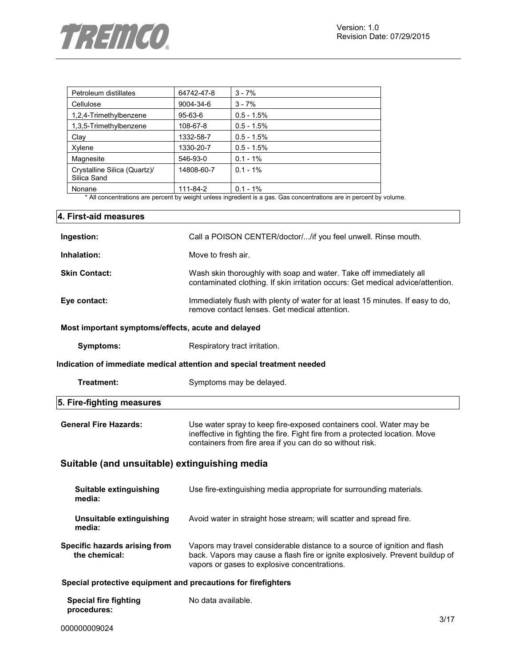

| Petroleum distillates                       | 64742-47-8    | $3 - 7%$     |
|---------------------------------------------|---------------|--------------|
| Cellulose                                   | 9004-34-6     | $3 - 7%$     |
| 1,2,4-Trimethylbenzene                      | $95 - 63 - 6$ | $0.5 - 1.5%$ |
| 1,3,5-Trimethylbenzene                      | 108-67-8      | $0.5 - 1.5%$ |
| Clay                                        | 1332-58-7     | $0.5 - 1.5%$ |
| Xylene                                      | 1330-20-7     | $0.5 - 1.5%$ |
| Magnesite                                   | 546-93-0      | $0.1 - 1\%$  |
| Crystalline Silica (Quartz)/<br>Silica Sand | 14808-60-7    | $0.1 - 1\%$  |
| Nonane                                      | 111-84-2      | $0.1 - 1\%$  |

\* All concentrations are percent by weight unless ingredient is a gas. Gas concentrations are in percent by volume.

| 4. First-aid measures                                         |                                                                                                                                                                                                                |
|---------------------------------------------------------------|----------------------------------------------------------------------------------------------------------------------------------------------------------------------------------------------------------------|
| Ingestion:                                                    | Call a POISON CENTER/doctor//if you feel unwell. Rinse mouth.                                                                                                                                                  |
| Inhalation:                                                   | Move to fresh air.                                                                                                                                                                                             |
| <b>Skin Contact:</b>                                          | Wash skin thoroughly with soap and water. Take off immediately all<br>contaminated clothing. If skin irritation occurs: Get medical advice/attention.                                                          |
| Eye contact:                                                  | Immediately flush with plenty of water for at least 15 minutes. If easy to do,<br>remove contact lenses. Get medical attention.                                                                                |
| Most important symptoms/effects, acute and delayed            |                                                                                                                                                                                                                |
| Symptoms:                                                     | Respiratory tract irritation.                                                                                                                                                                                  |
|                                                               | Indication of immediate medical attention and special treatment needed                                                                                                                                         |
| Treatment:                                                    | Symptoms may be delayed.                                                                                                                                                                                       |
| 5. Fire-fighting measures                                     |                                                                                                                                                                                                                |
| <b>General Fire Hazards:</b>                                  | Use water spray to keep fire-exposed containers cool. Water may be<br>ineffective in fighting the fire. Fight fire from a protected location. Move<br>containers from fire area if you can do so without risk. |
| Suitable (and unsuitable) extinguishing media                 |                                                                                                                                                                                                                |
| Suitable extinguishing<br>media:                              | Use fire-extinguishing media appropriate for surrounding materials.                                                                                                                                            |
| Unsuitable extinguishing<br>media:                            | Avoid water in straight hose stream; will scatter and spread fire.                                                                                                                                             |
| Specific hazards arising from<br>the chemical:                | Vapors may travel considerable distance to a source of ignition and flash<br>back. Vapors may cause a flash fire or ignite explosively. Prevent buildup of<br>vapors or gases to explosive concentrations.     |
| Special protective equipment and precautions for firefighters |                                                                                                                                                                                                                |
| <b>Special fire fighting</b><br>procedures:                   | No data available.                                                                                                                                                                                             |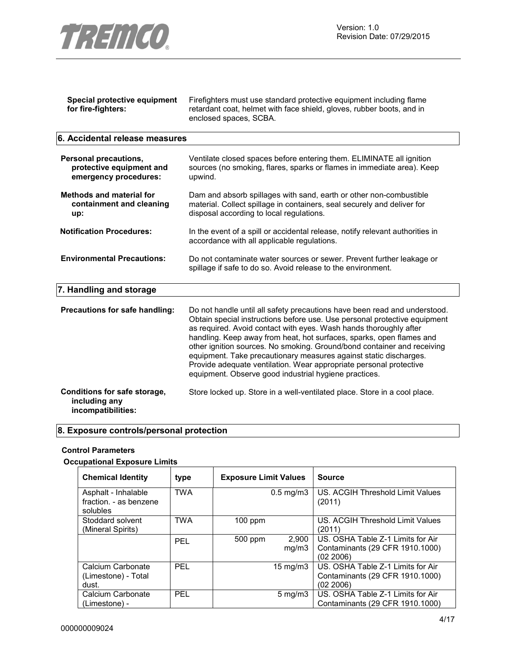

| Special protective equipment<br>for fire-fighters:                         | Firefighters must use standard protective equipment including flame<br>retardant coat, helmet with face shield, gloves, rubber boots, and in<br>enclosed spaces, SCBA.                                                                                                                                                                                                                                                                                                                                                                                                             |  |  |
|----------------------------------------------------------------------------|------------------------------------------------------------------------------------------------------------------------------------------------------------------------------------------------------------------------------------------------------------------------------------------------------------------------------------------------------------------------------------------------------------------------------------------------------------------------------------------------------------------------------------------------------------------------------------|--|--|
| 6. Accidental release measures                                             |                                                                                                                                                                                                                                                                                                                                                                                                                                                                                                                                                                                    |  |  |
| Personal precautions,<br>protective equipment and<br>emergency procedures: | Ventilate closed spaces before entering them. ELIMINATE all ignition<br>sources (no smoking, flares, sparks or flames in immediate area). Keep<br>upwind.                                                                                                                                                                                                                                                                                                                                                                                                                          |  |  |
| <b>Methods and material for</b><br>containment and cleaning<br>up:         | Dam and absorb spillages with sand, earth or other non-combustible<br>material. Collect spillage in containers, seal securely and deliver for<br>disposal according to local regulations.                                                                                                                                                                                                                                                                                                                                                                                          |  |  |
| <b>Notification Procedures:</b>                                            | In the event of a spill or accidental release, notify relevant authorities in<br>accordance with all applicable regulations.                                                                                                                                                                                                                                                                                                                                                                                                                                                       |  |  |
| <b>Environmental Precautions:</b>                                          | Do not contaminate water sources or sewer. Prevent further leakage or<br>spillage if safe to do so. Avoid release to the environment.                                                                                                                                                                                                                                                                                                                                                                                                                                              |  |  |
| 7. Handling and storage                                                    |                                                                                                                                                                                                                                                                                                                                                                                                                                                                                                                                                                                    |  |  |
| Precautions for safe handling:                                             | Do not handle until all safety precautions have been read and understood.<br>Obtain special instructions before use. Use personal protective equipment<br>as required. Avoid contact with eyes. Wash hands thoroughly after<br>handling. Keep away from heat, hot surfaces, sparks, open flames and<br>other ignition sources. No smoking. Ground/bond container and receiving<br>equipment. Take precautionary measures against static discharges.<br>Provide adequate ventilation. Wear appropriate personal protective<br>equipment. Observe good industrial hygiene practices. |  |  |
| Conditions for safe storage,<br>including any<br>incompatibilities:        | Store locked up. Store in a well-ventilated place. Store in a cool place.                                                                                                                                                                                                                                                                                                                                                                                                                                                                                                          |  |  |

# **8. Exposure controls/personal protection**

## **Control Parameters**

## **Occupational Exposure Limits**

| <b>Chemical Identity</b>                                  | type       | <b>Exposure Limit Values</b> | <b>Source</b>                                                                     |
|-----------------------------------------------------------|------------|------------------------------|-----------------------------------------------------------------------------------|
| Asphalt - Inhalable<br>fraction. - as benzene<br>solubles | <b>TWA</b> | $0.5 \text{ mg/m}$ 3         | US. ACGIH Threshold Limit Values<br>(2011)                                        |
| Stoddard solvent<br>(Mineral Spirits)                     | <b>TWA</b> | 100 ppm                      | US. ACGIH Threshold Limit Values<br>(2011)                                        |
|                                                           | <b>PFI</b> | 2,900<br>500 ppm<br>mq/m3    | US. OSHA Table Z-1 Limits for Air<br>Contaminants (29 CFR 1910.1000)<br>(02 2006) |
| Calcium Carbonate<br>(Limestone) - Total<br>dust.         | <b>PFI</b> | $15 \text{ mg/m}$            | US. OSHA Table Z-1 Limits for Air<br>Contaminants (29 CFR 1910.1000)<br>(02 2006) |
| Calcium Carbonate<br>(Limestone) -                        | <b>PFI</b> | $5 \text{ mg/m}$             | US. OSHA Table Z-1 Limits for Air<br>Contaminants (29 CFR 1910.1000)              |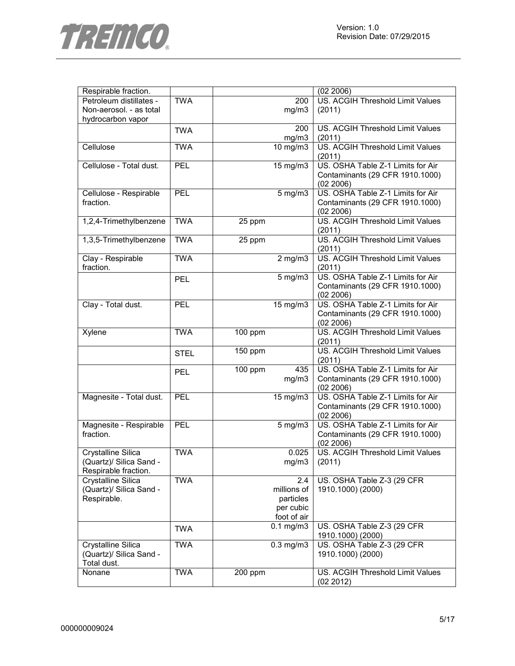

| Respirable fraction.      |             |         |                       | (02 2006)                                            |
|---------------------------|-------------|---------|-----------------------|------------------------------------------------------|
| Petroleum distillates -   | <b>TWA</b>  |         | 200                   | US. ACGIH Threshold Limit Values                     |
| Non-aerosol. - as total   |             |         | mg/m3                 | (2011)                                               |
| hydrocarbon vapor         |             |         |                       |                                                      |
|                           | <b>TWA</b>  |         | 200                   | US. ACGIH Threshold Limit Values                     |
|                           |             |         | mg/m3                 | (2011)                                               |
| Cellulose                 | <b>TWA</b>  |         | $\overline{10}$ mg/m3 | US. ACGIH Threshold Limit Values                     |
|                           |             |         |                       | (2011)                                               |
| Cellulose - Total dust.   | PEL         |         | $15 \text{ mg/m}$     | US. OSHA Table Z-1 Limits for Air                    |
|                           |             |         |                       | Contaminants (29 CFR 1910.1000)                      |
|                           |             |         |                       | (02 2006)                                            |
| Cellulose - Respirable    | PEL         |         | $5$ mg/m $3$          | US. OSHA Table Z-1 Limits for Air                    |
| fraction.                 |             |         |                       | Contaminants (29 CFR 1910.1000)                      |
|                           |             |         |                       |                                                      |
|                           | <b>TWA</b>  |         |                       | (02 2006)<br><b>US. ACGIH Threshold Limit Values</b> |
| 1,2,4-Trimethylbenzene    |             | 25 ppm  |                       |                                                      |
|                           |             |         |                       | (2011)                                               |
| 1,3,5-Trimethylbenzene    | <b>TWA</b>  | 25 ppm  |                       | US. ACGIH Threshold Limit Values                     |
|                           |             |         |                       | (2011)                                               |
| Clay - Respirable         | <b>TWA</b>  |         | $2$ mg/m $3$          | <b>US. ACGIH Threshold Limit Values</b>              |
| fraction.                 |             |         |                       | (2011)                                               |
|                           | <b>PEL</b>  |         | $5$ mg/m $3$          | US. OSHA Table Z-1 Limits for Air                    |
|                           |             |         |                       | Contaminants (29 CFR 1910.1000)                      |
|                           |             |         |                       | (02 2006)                                            |
| Clay - Total dust.        | <b>PEL</b>  |         | $15 \text{ mg/m}$     | US. OSHA Table Z-1 Limits for Air                    |
|                           |             |         |                       | Contaminants (29 CFR 1910.1000)                      |
|                           |             |         |                       | (02 2006)                                            |
| Xylene                    | <b>TWA</b>  | 100 ppm |                       | US. ACGIH Threshold Limit Values                     |
|                           |             |         |                       | (2011)                                               |
|                           | <b>STEL</b> | 150 ppm |                       | US. ACGIH Threshold Limit Values                     |
|                           |             |         |                       | (2011)                                               |
|                           | <b>PEL</b>  | 100 ppm | 435                   | US. OSHA Table Z-1 Limits for Air                    |
|                           |             |         | mg/m3                 | Contaminants (29 CFR 1910.1000)                      |
|                           |             |         |                       | (02 2006)                                            |
| Magnesite - Total dust.   | PEL         |         | $\overline{15}$ mg/m3 | US. OSHA Table Z-1 Limits for Air                    |
|                           |             |         |                       | Contaminants (29 CFR 1910.1000)                      |
|                           |             |         |                       | (02 2006)                                            |
| Magnesite - Respirable    | PEL         |         | $5$ mg/m $3$          | US. OSHA Table Z-1 Limits for Air                    |
|                           |             |         |                       |                                                      |
| fraction.                 |             |         |                       | Contaminants (29 CFR 1910.1000)                      |
|                           |             |         |                       | (02 2006)                                            |
| <b>Crystalline Silica</b> | <b>TWA</b>  |         | 0.025                 | <b>US. ACGIH Threshold Limit Values</b>              |
| (Quartz)/ Silica Sand -   |             |         | mg/m3                 | (2011)                                               |
| Respirable fraction.      |             |         |                       |                                                      |
| Crystalline Silica        | <b>TWA</b>  |         | 2.4                   | US. OSHA Table Z-3 (29 CFR                           |
| (Quartz)/ Silica Sand -   |             |         | millions of           | 1910.1000) (2000)                                    |
| Respirable.               |             |         | particles             |                                                      |
|                           |             |         | per cubic             |                                                      |
|                           |             |         | foot of air           |                                                      |
|                           | <b>TWA</b>  |         | $0.1$ mg/m $3$        | US. OSHA Table Z-3 (29 CFR                           |
|                           |             |         |                       | 1910.1000) (2000)                                    |
| Crystalline Silica        | <b>TWA</b>  |         | $0.3$ mg/m $3$        | US. OSHA Table Z-3 (29 CFR                           |
| (Quartz)/ Silica Sand -   |             |         |                       | 1910.1000) (2000)                                    |
| Total dust.               |             |         |                       |                                                      |
| Nonane                    | <b>TWA</b>  | 200 ppm |                       | US. ACGIH Threshold Limit Values                     |
|                           |             |         |                       | (02 2012)                                            |
|                           |             |         |                       |                                                      |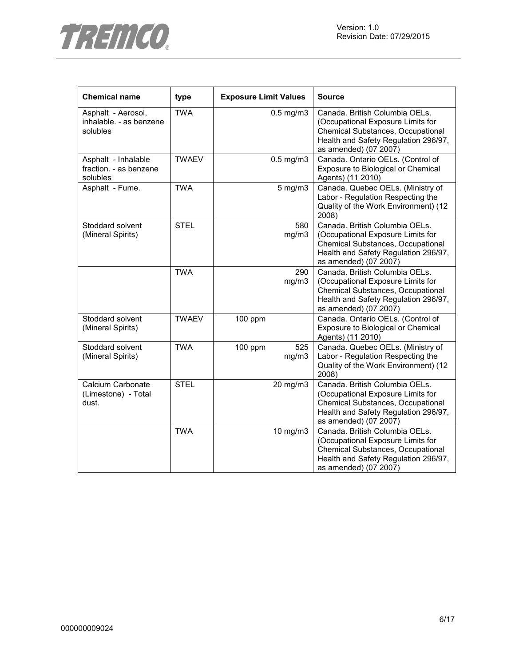

| <b>Chemical name</b>                                      | type         | <b>Exposure Limit Values</b> |                | <b>Source</b>                                                                                                                                                             |
|-----------------------------------------------------------|--------------|------------------------------|----------------|---------------------------------------------------------------------------------------------------------------------------------------------------------------------------|
| Asphalt - Aerosol,<br>inhalable. - as benzene<br>solubles | <b>TWA</b>   |                              | $0.5$ mg/m $3$ | Canada. British Columbia OELs.<br>(Occupational Exposure Limits for<br>Chemical Substances, Occupational<br>Health and Safety Regulation 296/97,<br>as amended) (07 2007) |
| Asphalt - Inhalable<br>fraction. - as benzene<br>solubles | <b>TWAEV</b> |                              | $0.5$ mg/m $3$ | Canada. Ontario OELs. (Control of<br>Exposure to Biological or Chemical<br>Agents) (11 2010)                                                                              |
| Asphalt - Fume.                                           | <b>TWA</b>   |                              | $5$ mg/m $3$   | Canada. Quebec OELs. (Ministry of<br>Labor - Regulation Respecting the<br>Quality of the Work Environment) (12<br>2008)                                                   |
| Stoddard solvent<br>(Mineral Spirits)                     | <b>STEL</b>  |                              | 580<br>mg/m3   | Canada. British Columbia OELs.<br>(Occupational Exposure Limits for<br>Chemical Substances, Occupational<br>Health and Safety Regulation 296/97,<br>as amended) (07 2007) |
|                                                           | <b>TWA</b>   |                              | 290<br>mg/m3   | Canada. British Columbia OELs.<br>(Occupational Exposure Limits for<br>Chemical Substances, Occupational<br>Health and Safety Regulation 296/97,<br>as amended) (07 2007) |
| Stoddard solvent<br>(Mineral Spirits)                     | <b>TWAEV</b> | 100 ppm                      |                | Canada. Ontario OELs. (Control of<br>Exposure to Biological or Chemical<br>Agents) (11 2010)                                                                              |
| Stoddard solvent<br>(Mineral Spirits)                     | <b>TWA</b>   | $100$ ppm                    | 525<br>mg/m3   | Canada. Quebec OELs. (Ministry of<br>Labor - Regulation Respecting the<br>Quality of the Work Environment) (12<br>2008)                                                   |
| Calcium Carbonate<br>(Limestone) - Total<br>dust.         | <b>STEL</b>  |                              | 20 mg/m3       | Canada. British Columbia OELs.<br>(Occupational Exposure Limits for<br>Chemical Substances, Occupational<br>Health and Safety Regulation 296/97,<br>as amended) (07 2007) |
|                                                           | <b>TWA</b>   |                              | 10 mg/m3       | Canada. British Columbia OELs.<br>(Occupational Exposure Limits for<br>Chemical Substances, Occupational<br>Health and Safety Regulation 296/97,<br>as amended) (07 2007) |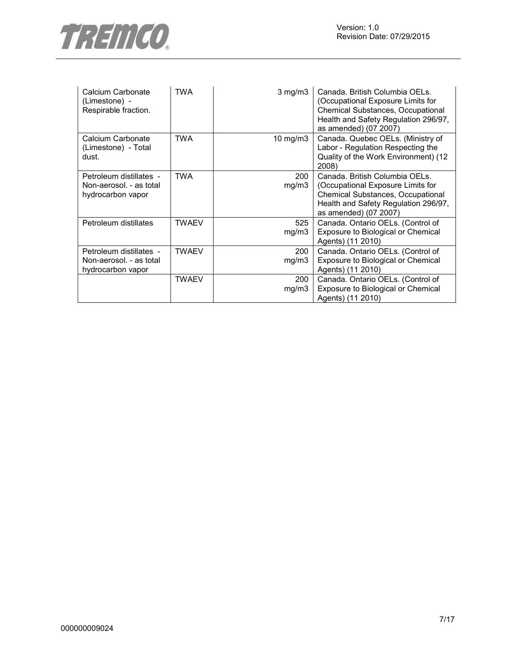

| Calcium Carbonate<br>(Limestone) -<br>Respirable fraction.              | <b>TWA</b>   | $3$ mg/m $3$ | Canada. British Columbia OELs.<br>(Occupational Exposure Limits for<br><b>Chemical Substances, Occupational</b><br>Health and Safety Regulation 296/97,<br>as amended) (07 2007) |
|-------------------------------------------------------------------------|--------------|--------------|----------------------------------------------------------------------------------------------------------------------------------------------------------------------------------|
| Calcium Carbonate<br>(Limestone) - Total<br>dust.                       | <b>TWA</b>   | 10 mg/m3     | Canada. Quebec OELs. (Ministry of<br>Labor - Regulation Respecting the<br>Quality of the Work Environment) (12<br>2008)                                                          |
| Petroleum distillates -<br>Non-aerosol. - as total<br>hydrocarbon vapor | TWA          | 200<br>mg/m3 | Canada. British Columbia OELs.<br>(Occupational Exposure Limits for<br>Chemical Substances, Occupational<br>Health and Safety Regulation 296/97,<br>as amended) (07 2007)        |
| Petroleum distillates                                                   | TWAEV        | 525<br>mg/m3 | Canada. Ontario OELs. (Control of<br>Exposure to Biological or Chemical<br>Agents) (11 2010)                                                                                     |
| Petroleum distillates -<br>Non-aerosol. - as total<br>hydrocarbon vapor | <b>TWAEV</b> | 200<br>mg/m3 | Canada. Ontario OELs. (Control of<br>Exposure to Biological or Chemical<br>Agents) (11 2010)                                                                                     |
|                                                                         | <b>TWAEV</b> | 200<br>mg/m3 | Canada. Ontario OELs. (Control of<br>Exposure to Biological or Chemical<br>Agents) (11 2010)                                                                                     |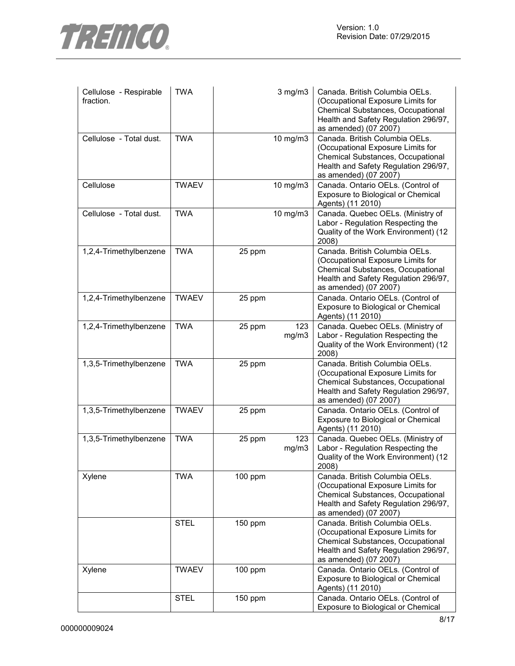

| Cellulose - Respirable<br>fraction. | <b>TWA</b>   |           | $3$ mg/m $3$ | Canada, British Columbia OELs.<br>(Occupational Exposure Limits for<br>Chemical Substances, Occupational<br>Health and Safety Regulation 296/97,<br>as amended) (07 2007) |
|-------------------------------------|--------------|-----------|--------------|---------------------------------------------------------------------------------------------------------------------------------------------------------------------------|
| Cellulose - Total dust.             | <b>TWA</b>   |           | 10 mg/m3     | Canada. British Columbia OELs.<br>(Occupational Exposure Limits for<br>Chemical Substances, Occupational<br>Health and Safety Regulation 296/97,<br>as amended) (07 2007) |
| Cellulose                           | <b>TWAEV</b> |           | 10 mg/m3     | Canada. Ontario OELs. (Control of<br>Exposure to Biological or Chemical<br>Agents) (11 2010)                                                                              |
| Cellulose - Total dust.             | <b>TWA</b>   |           | 10 mg/m3     | Canada. Quebec OELs. (Ministry of<br>Labor - Regulation Respecting the<br>Quality of the Work Environment) (12<br>2008)                                                   |
| 1,2,4-Trimethylbenzene              | <b>TWA</b>   | 25 ppm    |              | Canada. British Columbia OELs.<br>(Occupational Exposure Limits for<br>Chemical Substances, Occupational<br>Health and Safety Regulation 296/97,<br>as amended) (07 2007) |
| 1,2,4-Trimethylbenzene              | <b>TWAEV</b> | 25 ppm    |              | Canada. Ontario OELs. (Control of<br>Exposure to Biological or Chemical<br>Agents) (11 2010)                                                                              |
| 1,2,4-Trimethylbenzene              | <b>TWA</b>   | 25 ppm    | 123<br>mg/m3 | Canada. Quebec OELs. (Ministry of<br>Labor - Regulation Respecting the<br>Quality of the Work Environment) (12<br>2008)                                                   |
| 1,3,5-Trimethylbenzene              | <b>TWA</b>   | 25 ppm    |              | Canada. British Columbia OELs.<br>(Occupational Exposure Limits for<br>Chemical Substances, Occupational<br>Health and Safety Regulation 296/97,<br>as amended) (07 2007) |
| 1,3,5-Trimethylbenzene              | <b>TWAEV</b> | 25 ppm    |              | Canada. Ontario OELs. (Control of<br>Exposure to Biological or Chemical<br>Agents) (11 2010)                                                                              |
| 1,3,5-Trimethylbenzene              | <b>TWA</b>   | 25 ppm    | 123<br>mg/m3 | Canada. Quebec OELs. (Ministry of<br>Labor - Regulation Respecting the<br>Quality of the Work Environment) (12<br>2008)                                                   |
| Xylene                              | <b>TWA</b>   | 100 ppm   |              | Canada. British Columbia OELs.<br>(Occupational Exposure Limits for<br>Chemical Substances, Occupational<br>Health and Safety Regulation 296/97,<br>as amended) (07 2007) |
|                                     | <b>STEL</b>  | 150 ppm   |              | Canada. British Columbia OELs.<br>(Occupational Exposure Limits for<br>Chemical Substances, Occupational<br>Health and Safety Regulation 296/97,<br>as amended) (07 2007) |
| Xylene                              | <b>TWAEV</b> | 100 ppm   |              | Canada. Ontario OELs. (Control of<br>Exposure to Biological or Chemical<br>Agents) (11 2010)                                                                              |
|                                     | <b>STEL</b>  | $150$ ppm |              | Canada. Ontario OELs. (Control of<br>Exposure to Biological or Chemical                                                                                                   |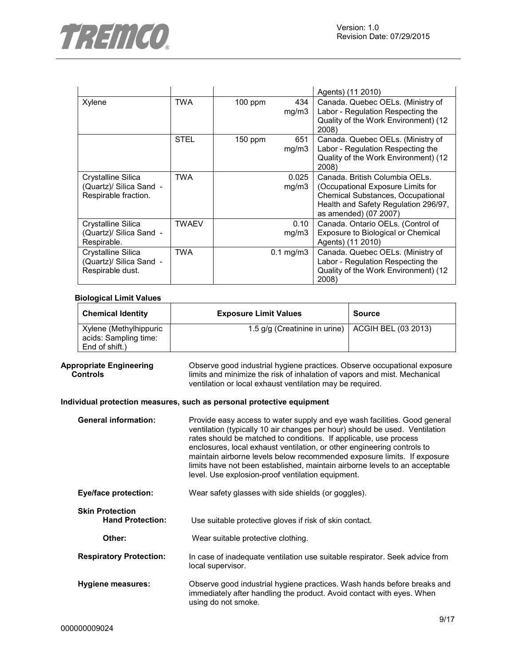

|                                                                          |             |           |                      | Agents) (11 2010)                                                                                                                                                                |
|--------------------------------------------------------------------------|-------------|-----------|----------------------|----------------------------------------------------------------------------------------------------------------------------------------------------------------------------------|
| Xylene                                                                   | <b>TWA</b>  | 100 ppm   | 434<br>mg/m3         | Canada. Quebec OELs. (Ministry of<br>Labor - Regulation Respecting the<br>Quality of the Work Environment) (12<br>2008)                                                          |
|                                                                          | <b>STEL</b> | $150$ ppm | 651<br>mg/m3         | Canada. Quebec OELs. (Ministry of<br>Labor - Regulation Respecting the<br>Quality of the Work Environment) (12<br>2008)                                                          |
| Crystalline Silica<br>(Quartz)/ Silica Sand -<br>Respirable fraction.    | <b>TWA</b>  |           | 0.025<br>mg/m3       | Canada. British Columbia OELs.<br>(Occupational Exposure Limits for<br><b>Chemical Substances, Occupational</b><br>Health and Safety Regulation 296/97,<br>as amended) (07 2007) |
| Crystalline Silica<br>(Quartz)/ Silica Sand -<br>Respirable.             | TWAEV       |           | 0.10<br>mg/m3        | Canada. Ontario OELs. (Control of<br>Exposure to Biological or Chemical<br>Agents) (11 2010)                                                                                     |
| <b>Crystalline Silica</b><br>(Quartz)/ Silica Sand -<br>Respirable dust. | TWA         |           | $0.1 \text{ mg/m}$ 3 | Canada. Quebec OELs. (Ministry of<br>Labor - Regulation Respecting the<br>Quality of the Work Environment) (12<br>2008)                                                          |

#### **Biological Limit Values**

| <b>Chemical Identity</b>                        | <b>Exposure Limit Values</b>                        | <b>Source</b> |
|-------------------------------------------------|-----------------------------------------------------|---------------|
| Xylene (Methylhippuric<br>acids: Sampling time: | 1.5 g/g (Creatinine in urine)   ACGIH BEL (03 2013) |               |
| End of shift.)                                  |                                                     |               |

#### **Appropriate Engineering Controls**

Observe good industrial hygiene practices. Observe occupational exposure limits and minimize the risk of inhalation of vapors and mist. Mechanical ventilation or local exhaust ventilation may be required.

#### **Individual protection measures, such as personal protective equipment**

- **General information:** Provide easy access to water supply and eye wash facilities. Good general ventilation (typically 10 air changes per hour) should be used. Ventilation rates should be matched to conditions. If applicable, use process enclosures, local exhaust ventilation, or other engineering controls to maintain airborne levels below recommended exposure limits. If exposure limits have not been established, maintain airborne levels to an acceptable level. Use explosion-proof ventilation equipment. **Eye/face protection:** Wear safety glasses with side shields (or goggles). **Skin Protection**<br> **Hand Protection:** Use suitable protective gloves if risk of skin contact.
- **Other:** Wear suitable protective clothing. **Respiratory Protection:** In case of inadequate ventilation use suitable respirator. Seek advice from local supervisor.
- **Hygiene measures:** Observe good industrial hygiene practices. Wash hands before breaks and immediately after handling the product. Avoid contact with eyes. When using do not smoke.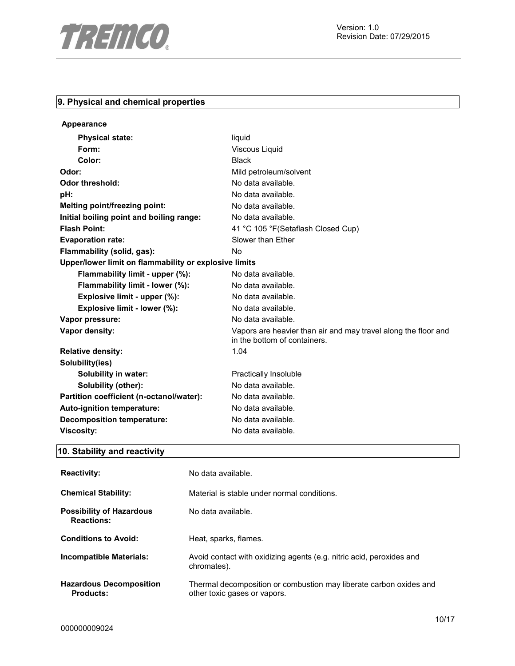

# **9. Physical and chemical properties**

| Appearance                                            |                                                                                                |  |
|-------------------------------------------------------|------------------------------------------------------------------------------------------------|--|
| <b>Physical state:</b>                                | liquid                                                                                         |  |
| Form:                                                 | Viscous Liquid                                                                                 |  |
| Color:                                                | <b>Black</b>                                                                                   |  |
| Odor:                                                 | Mild petroleum/solvent                                                                         |  |
| Odor threshold:                                       | No data available.                                                                             |  |
| pH:                                                   | No data available.                                                                             |  |
| Melting point/freezing point:                         | No data available.                                                                             |  |
| Initial boiling point and boiling range:              | No data available.                                                                             |  |
| <b>Flash Point:</b>                                   | 41 °C 105 °F (Setaflash Closed Cup)                                                            |  |
| <b>Evaporation rate:</b>                              | Slower than Ether                                                                              |  |
| Flammability (solid, gas):                            | <b>No</b>                                                                                      |  |
| Upper/lower limit on flammability or explosive limits |                                                                                                |  |
| Flammability limit - upper (%):                       | No data available.                                                                             |  |
| Flammability limit - lower (%):                       | No data available.                                                                             |  |
| Explosive limit - upper (%):                          | No data available.                                                                             |  |
| Explosive limit - lower (%):                          | No data available.                                                                             |  |
| Vapor pressure:                                       | No data available.                                                                             |  |
| Vapor density:                                        | Vapors are heavier than air and may travel along the floor and<br>in the bottom of containers. |  |
| <b>Relative density:</b>                              | 1.04                                                                                           |  |
| Solubility(ies)                                       |                                                                                                |  |
| <b>Solubility in water:</b>                           | Practically Insoluble                                                                          |  |
| Solubility (other):                                   | No data available.                                                                             |  |
| Partition coefficient (n-octanol/water):              | No data available.                                                                             |  |
| Auto-ignition temperature:                            | No data available.                                                                             |  |
| <b>Decomposition temperature:</b>                     | No data available.                                                                             |  |
| <b>Viscosity:</b>                                     | No data available.                                                                             |  |

# **10. Stability and reactivity**

| <b>Reactivity:</b>                                   | No data available.                                                                                 |
|------------------------------------------------------|----------------------------------------------------------------------------------------------------|
| <b>Chemical Stability:</b>                           | Material is stable under normal conditions.                                                        |
| <b>Possibility of Hazardous</b><br><b>Reactions:</b> | No data available.                                                                                 |
| <b>Conditions to Avoid:</b>                          | Heat, sparks, flames.                                                                              |
| Incompatible Materials:                              | Avoid contact with oxidizing agents (e.g. nitric acid, peroxides and<br>chromates).                |
| <b>Hazardous Decomposition</b><br>Products:          | Thermal decomposition or combustion may liberate carbon oxides and<br>other toxic gases or vapors. |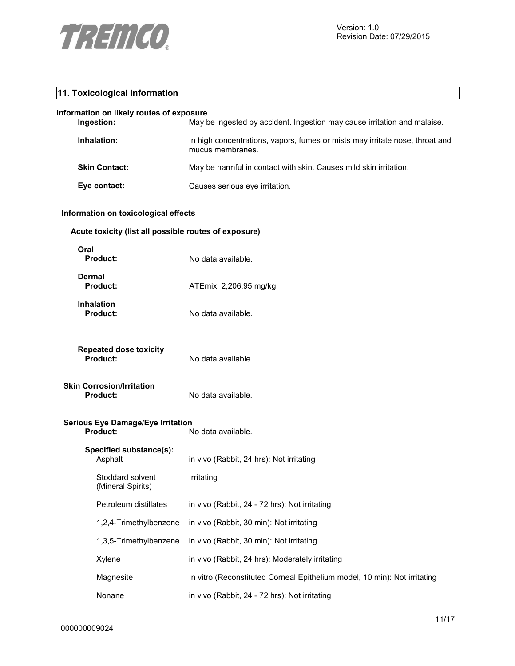

## **11. Toxicological information**

## **Information on likely routes of exposure**

| Ingestion:           | May be ingested by accident. Ingestion may cause irritation and malaise.                         |
|----------------------|--------------------------------------------------------------------------------------------------|
| Inhalation:          | In high concentrations, vapors, fumes or mists may irritate nose, throat and<br>mucus membranes. |
| <b>Skin Contact:</b> | May be harmful in contact with skin. Causes mild skin irritation.                                |
| Eye contact:         | Causes serious eye irritation.                                                                   |

## **Information on toxicological effects**

## **Acute toxicity (list all possible routes of exposure)**

| Oral<br>Product:                                     | No data available.                                                        |
|------------------------------------------------------|---------------------------------------------------------------------------|
| <b>Dermal</b><br>Product:                            | ATEmix: 2,206.95 mg/kg                                                    |
| <b>Inhalation</b><br><b>Product:</b>                 | No data available.                                                        |
| <b>Repeated dose toxicity</b><br><b>Product:</b>     | No data available.                                                        |
| Skin Corrosion/Irritation<br><b>Product:</b>         | No data available.                                                        |
| <b>Serious Eye Damage/Eye Irritation</b><br>Product: | No data available.                                                        |
| Specified substance(s):<br>Asphalt                   | in vivo (Rabbit, 24 hrs): Not irritating                                  |
| Stoddard solvent<br>(Mineral Spirits)                | Irritating                                                                |
| Petroleum distillates                                | in vivo (Rabbit, 24 - 72 hrs): Not irritating                             |
| 1,2,4-Trimethylbenzene                               | in vivo (Rabbit, 30 min): Not irritating                                  |
| 1,3,5-Trimethylbenzene                               | in vivo (Rabbit, 30 min): Not irritating                                  |
| Xylene                                               | in vivo (Rabbit, 24 hrs): Moderately irritating                           |
| Magnesite                                            | In vitro (Reconstituted Corneal Epithelium model, 10 min): Not irritating |
| Nonane                                               | in vivo (Rabbit, 24 - 72 hrs): Not irritating                             |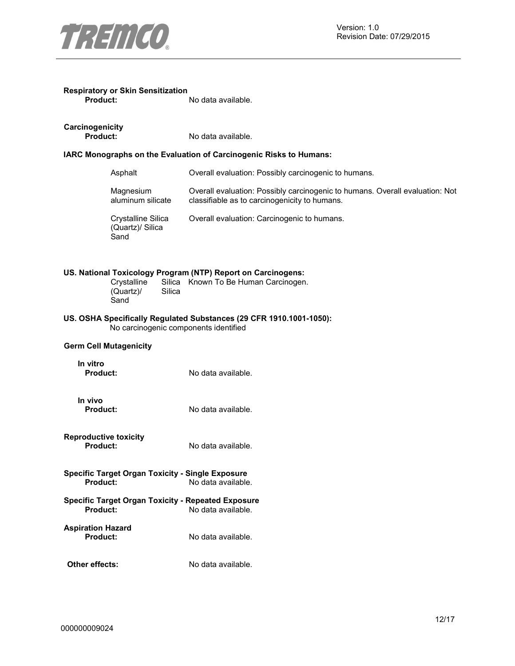

| <b>Respiratory or Skin Sensitization</b> |                    |
|------------------------------------------|--------------------|
| <b>Product:</b>                          | No data available. |

| Carcinogenicity |  |  |
|-----------------|--|--|

**Product:** No data available.

## **IARC Monographs on the Evaluation of Carcinogenic Risks to Humans:**

| Asphalt                                        | Overall evaluation: Possibly carcinogenic to humans.                                                                          |
|------------------------------------------------|-------------------------------------------------------------------------------------------------------------------------------|
| Magnesium<br>aluminum silicate                 | Overall evaluation: Possibly carcinogenic to humans. Overall evaluation: Not<br>classifiable as to carcinogenicity to humans. |
| Crystalline Silica<br>(Quartz)/ Silica<br>Sand | Overall evaluation: Carcinogenic to humans.                                                                                   |

## **US. National Toxicology Program (NTP) Report on Carcinogens:**

Crystalline Silica<br>(Quartz)/ Silica  $(Quartz)$ **Sand** Silica Known To Be Human Carcinogen.

## **US. OSHA Specifically Regulated Substances (29 CFR 1910.1001-1050):**  No carcinogenic components identified

## **Germ Cell Mutagenicity**

**In vitro Product:** No data available.

**In vivo** 

**Product:** No data available.

- **Reproductive toxicity Product:** No data available.
- **Specific Target Organ Toxicity Single Exposure Product:** No data available.
- **Specific Target Organ Toxicity Repeated Exposure**  No data available.
- **Aspiration Hazard**  No data available.
- **Other effects:** No data available.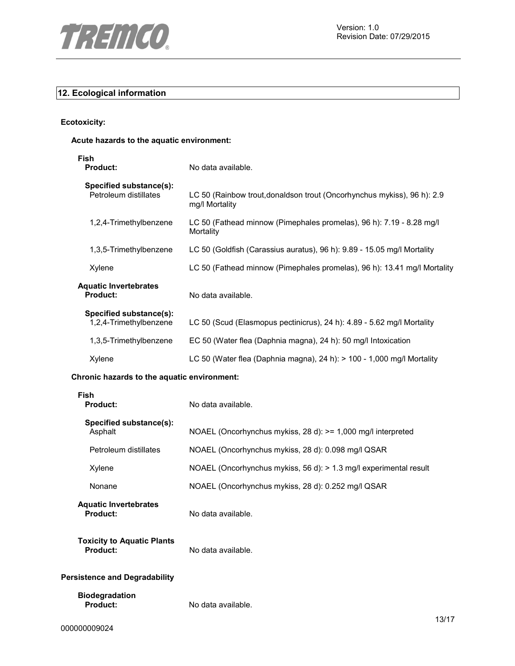

## **12. Ecological information**

**Ecotoxicity:**

## **Acute hazards to the aquatic environment:**

| Fish<br><b>Product:</b>                           | No data available.                                                                        |
|---------------------------------------------------|-------------------------------------------------------------------------------------------|
| Specified substance(s):<br>Petroleum distillates  | LC 50 (Rainbow trout, donaldson trout (Oncorhynchus mykiss), 96 h): 2.9<br>mg/l Mortality |
| 1,2,4-Trimethylbenzene                            | LC 50 (Fathead minnow (Pimephales promelas), 96 h): 7.19 - 8.28 mg/l<br>Mortality         |
| 1,3,5-Trimethylbenzene                            | LC 50 (Goldfish (Carassius auratus), 96 h): 9.89 - 15.05 mg/l Mortality                   |
| Xylene                                            | LC 50 (Fathead minnow (Pimephales promelas), 96 h): 13.41 mg/l Mortality                  |
| <b>Aquatic Invertebrates</b><br><b>Product:</b>   | No data available.                                                                        |
| Specified substance(s):<br>1,2,4-Trimethylbenzene | LC 50 (Scud (Elasmopus pectinicrus), 24 h): 4.89 - 5.62 mg/l Mortality                    |
| 1,3,5-Trimethylbenzene                            | EC 50 (Water flea (Daphnia magna), 24 h): 50 mg/l Intoxication                            |
| Xylene                                            | LC 50 (Water flea (Daphnia magna), 24 h): $> 100$ - 1,000 mg/l Mortality                  |

## **Chronic hazards to the aquatic environment:**

| <b>Fish</b><br><b>Product:</b>                | No data available.                                                |
|-----------------------------------------------|-------------------------------------------------------------------|
| Specified substance(s):<br>Asphalt            | NOAEL (Oncorhynchus mykiss, 28 d): >= 1,000 mg/l interpreted      |
| Petroleum distillates                         | NOAEL (Oncorhynchus mykiss, 28 d): 0.098 mg/l QSAR                |
| Xylene                                        | NOAEL (Oncorhynchus mykiss, 56 d): > 1.3 mg/l experimental result |
| Nonane                                        | NOAEL (Oncorhynchus mykiss, 28 d): 0.252 mg/l QSAR                |
| <b>Aquatic Invertebrates</b><br>Product:      | No data available.                                                |
| <b>Toxicity to Aquatic Plants</b><br>Product: | No data available.                                                |
| <b>Persistence and Degradability</b>          |                                                                   |
| <b>Biodegradation</b><br><b>Product:</b>      | No data available.                                                |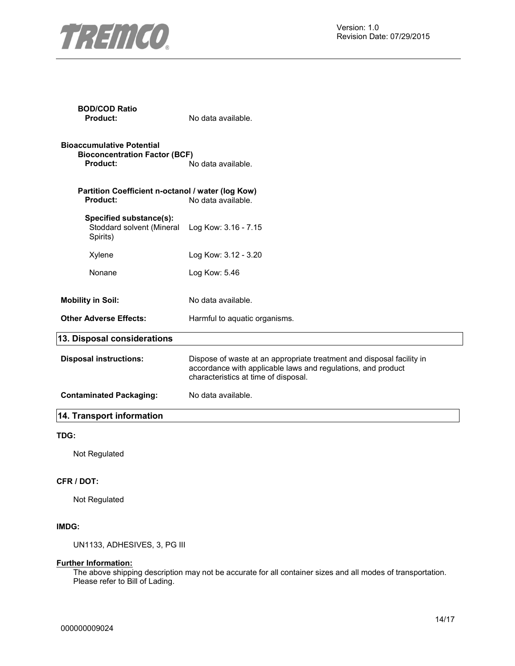

| <b>BOD/COD Ratio</b><br>Product:                                                     | No data available.                                                                                                                                                            |
|--------------------------------------------------------------------------------------|-------------------------------------------------------------------------------------------------------------------------------------------------------------------------------|
| <b>Bioaccumulative Potential</b><br><b>Bioconcentration Factor (BCF)</b><br>Product: | No data available.                                                                                                                                                            |
| Partition Coefficient n-octanol / water (log Kow)<br><b>Product:</b>                 | No data available.                                                                                                                                                            |
| Specified substance(s):<br>Stoddard solvent (Mineral<br>Spirits)                     | Log Kow: 3.16 - 7.15                                                                                                                                                          |
| Xylene                                                                               | Log Kow: 3.12 - 3.20                                                                                                                                                          |
| Nonane                                                                               | Log Kow: 5.46                                                                                                                                                                 |
| <b>Mobility in Soil:</b>                                                             | No data available.                                                                                                                                                            |
| <b>Other Adverse Effects:</b>                                                        | Harmful to aquatic organisms.                                                                                                                                                 |
| 13. Disposal considerations                                                          |                                                                                                                                                                               |
| <b>Disposal instructions:</b>                                                        | Dispose of waste at an appropriate treatment and disposal facility in<br>accordance with applicable laws and regulations, and product<br>characteristics at time of disposal. |
| <b>Contaminated Packaging:</b>                                                       | No data available.                                                                                                                                                            |
| 14. Transport information                                                            |                                                                                                                                                                               |

## **TDG:**

Not Regulated

## **CFR / DOT:**

Not Regulated

## **IMDG:**

UN1133, ADHESIVES, 3, PG III

## **Further Information:**

The above shipping description may not be accurate for all container sizes and all modes of transportation. Please refer to Bill of Lading.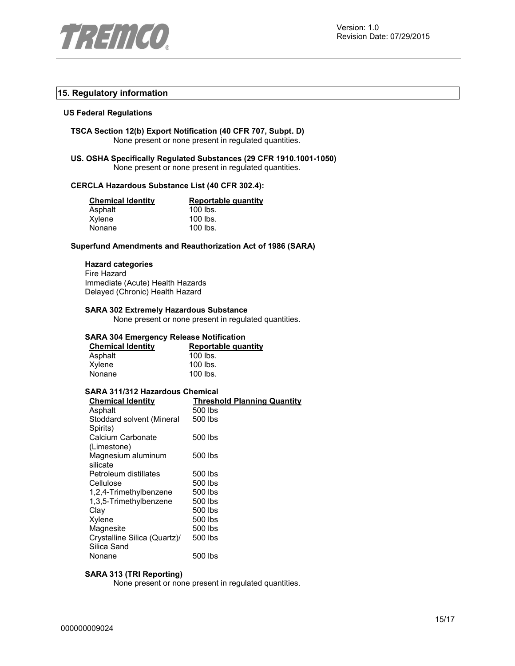

## **15. Regulatory information**

#### **US Federal Regulations**

**TSCA Section 12(b) Export Notification (40 CFR 707, Subpt. D)**  None present or none present in regulated quantities.

**US. OSHA Specifically Regulated Substances (29 CFR 1910.1001-1050)**  None present or none present in regulated quantities.

### **CERCLA Hazardous Substance List (40 CFR 302.4):**

| <b>Chemical Identity</b> | Reportable quantity |
|--------------------------|---------------------|
| Asphalt                  | $100$ lbs.          |
| Xylene                   | $100$ lbs.          |
| Nonane                   | $100$ lbs.          |

#### **Superfund Amendments and Reauthorization Act of 1986 (SARA)**

## **Hazard categories**

Fire Hazard Immediate (Acute) Health Hazards Delayed (Chronic) Health Hazard

#### **SARA 302 Extremely Hazardous Substance**

None present or none present in regulated quantities.

## **SARA 304 Emergency Release Notification**

| <b>Chemical Identity</b> | Reportable quantity |
|--------------------------|---------------------|
| Asphalt                  | $100$ lbs.          |
| Xylene                   | $100$ lbs.          |
| Nonane                   | $100$ lbs.          |

#### **SARA 311/312 Hazardous Chemical**

| <b>Threshold Planning Quantity</b> |
|------------------------------------|
| 500 lbs                            |
| 500 lbs                            |
|                                    |
| 500 lbs                            |
|                                    |
| 500 lbs                            |
|                                    |
| 500 lbs                            |
| 500 lbs                            |
| 500 lbs                            |
| 500 lbs                            |
| 500 lbs                            |
| 500 lbs                            |
| 500 lbs                            |
| 500 lbs                            |
|                                    |
| 500 lbs                            |
|                                    |

## **SARA 313 (TRI Reporting)**

None present or none present in regulated quantities.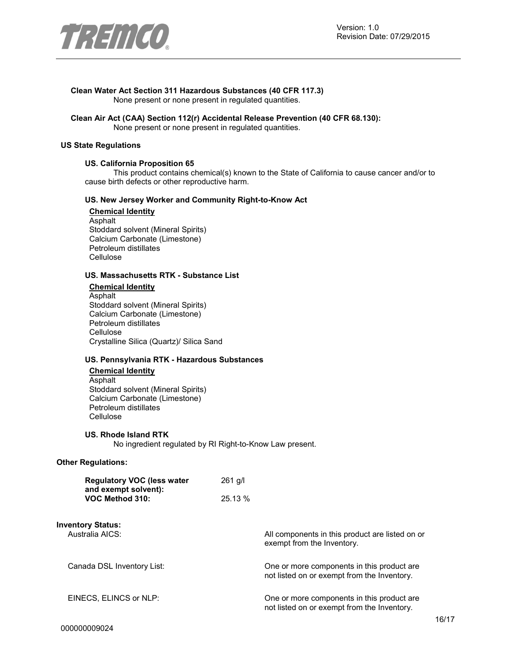

## **Clean Water Act Section 311 Hazardous Substances (40 CFR 117.3)**

None present or none present in regulated quantities.

#### **Clean Air Act (CAA) Section 112(r) Accidental Release Prevention (40 CFR 68.130):**  None present or none present in regulated quantities.

#### **US State Regulations**

#### **US. California Proposition 65**

This product contains chemical(s) known to the State of California to cause cancer and/or to cause birth defects or other reproductive harm.

## **US. New Jersey Worker and Community Right-to-Know Act**

**Chemical Identity** Asphalt Stoddard solvent (Mineral Spirits) Calcium Carbonate (Limestone) Petroleum distillates Cellulose

#### **US. Massachusetts RTK - Substance List**

**Chemical Identity** Asphalt Stoddard solvent (Mineral Spirits) Calcium Carbonate (Limestone) Petroleum distillates Cellulose Crystalline Silica (Quartz)/ Silica Sand

#### **US. Pennsylvania RTK - Hazardous Substances**

**Chemical Identity** Asphalt Stoddard solvent (Mineral Spirits) Calcium Carbonate (Limestone) Petroleum distillates **Cellulose** 

#### **US. Rhode Island RTK**

No ingredient regulated by RI Right-to-Know Law present.

#### **Other Regulations:**

| <b>Regulatory VOC (less water</b> | $261$ g/l |
|-----------------------------------|-----------|
| and exempt solvent):              |           |
| VOC Method 310:                   | 25.13 %   |

**Inventory Status:**

All components in this product are listed on or exempt from the Inventory.

Canada DSL Inventory List: One or more components in this product are not listed on or exempt from the Inventory.

EINECS, ELINCS or NLP: One or more components in this product are not listed on or exempt from the Inventory.